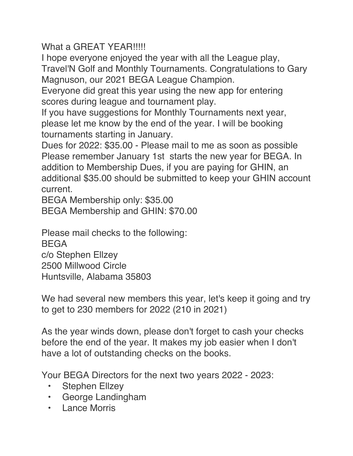What a GREAT YEAR!!!!!

I hope everyone enjoyed the year with all the League play,

Travel'N Golf and Monthly Tournaments. Congratulations to Gary Magnuson, our 2021 BEGA League Champion.

Everyone did great this year using the new app for entering scores during league and tournament play.

If you have suggestions for Monthly Tournaments next year, please let me know by the end of the year. I will be booking tournaments starting in January.

Dues for 2022: \$35.00 - Please mail to me as soon as possible Please remember January 1st starts the new year for BEGA. In addition to Membership Dues, if you are paying for GHIN, an additional \$35.00 should be submitted to keep your GHIN account current.

BEGA Membership only: \$35.00

BEGA Membership and GHIN: \$70.00

Please mail checks to the following: BEGA c/o Stephen Ellzey 2500 Millwood Circle Huntsville, Alabama 35803

We had several new members this year, let's keep it going and try to get to 230 members for 2022 (210 in 2021)

As the year winds down, please don't forget to cash your checks before the end of the year. It makes my job easier when I don't have a lot of outstanding checks on the books.

Your BEGA Directors for the next two years 2022 - 2023:

- Stephen Ellzey
- George Landingham
- Lance Morris